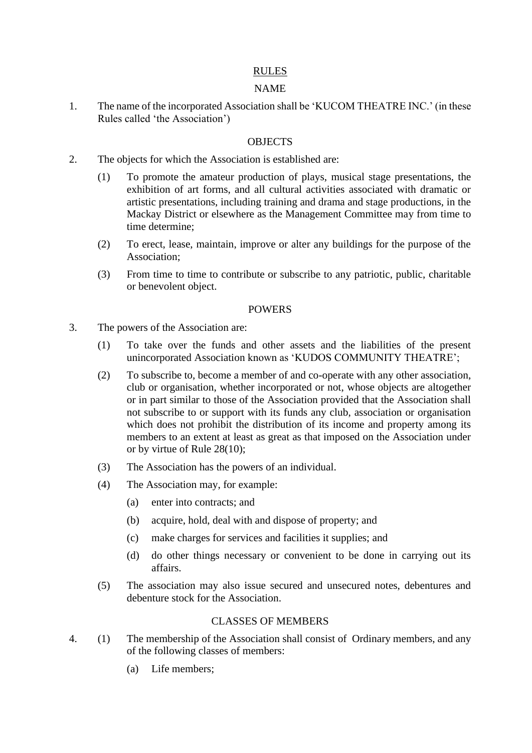# RULES

# NAME

1. The name of the incorporated Association shall be 'KUCOM THEATRE INC.' (in these Rules called 'the Association')

### **OBJECTS**

- 2. The objects for which the Association is established are:
	- (1) To promote the amateur production of plays, musical stage presentations, the exhibition of art forms, and all cultural activities associated with dramatic or artistic presentations, including training and drama and stage productions, in the Mackay District or elsewhere as the Management Committee may from time to time determine;
	- (2) To erect, lease, maintain, improve or alter any buildings for the purpose of the Association;
	- (3) From time to time to contribute or subscribe to any patriotic, public, charitable or benevolent object.

#### POWERS

- 3. The powers of the Association are:
	- (1) To take over the funds and other assets and the liabilities of the present unincorporated Association known as 'KUDOS COMMUNITY THEATRE';
	- (2) To subscribe to, become a member of and co-operate with any other association, club or organisation, whether incorporated or not, whose objects are altogether or in part similar to those of the Association provided that the Association shall not subscribe to or support with its funds any club, association or organisation which does not prohibit the distribution of its income and property among its members to an extent at least as great as that imposed on the Association under or by virtue of Rule 28(10);
	- (3) The Association has the powers of an individual.
	- (4) The Association may, for example:
		- (a) enter into contracts; and
		- (b) acquire, hold, deal with and dispose of property; and
		- (c) make charges for services and facilities it supplies; and
		- (d) do other things necessary or convenient to be done in carrying out its affairs.
	- (5) The association may also issue secured and unsecured notes, debentures and debenture stock for the Association.

# CLASSES OF MEMBERS

- 4. (1) The membership of the Association shall consist of Ordinary members, and any of the following classes of members:
	- (a) Life members;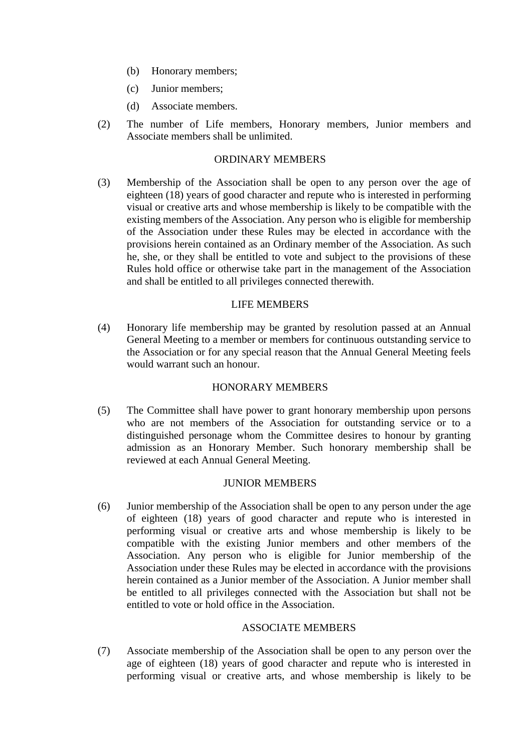- (b) Honorary members;
- (c) Junior members;
- (d) Associate members.
- (2) The number of Life members, Honorary members, Junior members and Associate members shall be unlimited.

#### ORDINARY MEMBERS

(3) Membership of the Association shall be open to any person over the age of eighteen (18) years of good character and repute who is interested in performing visual or creative arts and whose membership is likely to be compatible with the existing members of the Association. Any person who is eligible for membership of the Association under these Rules may be elected in accordance with the provisions herein contained as an Ordinary member of the Association. As such he, she, or they shall be entitled to vote and subject to the provisions of these Rules hold office or otherwise take part in the management of the Association and shall be entitled to all privileges connected therewith.

#### LIFE MEMBERS

(4) Honorary life membership may be granted by resolution passed at an Annual General Meeting to a member or members for continuous outstanding service to the Association or for any special reason that the Annual General Meeting feels would warrant such an honour.

## HONORARY MEMBERS

(5) The Committee shall have power to grant honorary membership upon persons who are not members of the Association for outstanding service or to a distinguished personage whom the Committee desires to honour by granting admission as an Honorary Member. Such honorary membership shall be reviewed at each Annual General Meeting.

## JUNIOR MEMBERS

(6) Junior membership of the Association shall be open to any person under the age of eighteen (18) years of good character and repute who is interested in performing visual or creative arts and whose membership is likely to be compatible with the existing Junior members and other members of the Association. Any person who is eligible for Junior membership of the Association under these Rules may be elected in accordance with the provisions herein contained as a Junior member of the Association. A Junior member shall be entitled to all privileges connected with the Association but shall not be entitled to vote or hold office in the Association.

#### ASSOCIATE MEMBERS

(7) Associate membership of the Association shall be open to any person over the age of eighteen (18) years of good character and repute who is interested in performing visual or creative arts, and whose membership is likely to be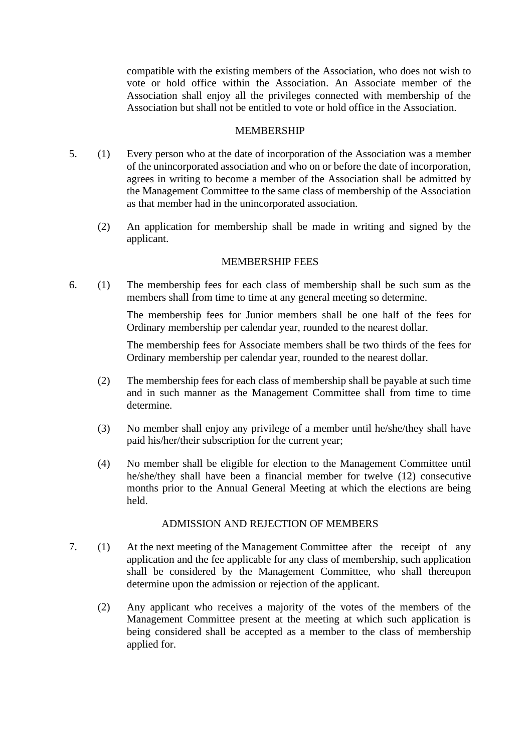compatible with the existing members of the Association, who does not wish to vote or hold office within the Association. An Associate member of the Association shall enjoy all the privileges connected with membership of the Association but shall not be entitled to vote or hold office in the Association.

#### MEMBERSHIP

- 5. (1) Every person who at the date of incorporation of the Association was a member of the unincorporated association and who on or before the date of incorporation, agrees in writing to become a member of the Association shall be admitted by the Management Committee to the same class of membership of the Association as that member had in the unincorporated association.
	- (2) An application for membership shall be made in writing and signed by the applicant.

## MEMBERSHIP FEES

6. (1) The membership fees for each class of membership shall be such sum as the members shall from time to time at any general meeting so determine.

> The membership fees for Junior members shall be one half of the fees for Ordinary membership per calendar year, rounded to the nearest dollar.

> The membership fees for Associate members shall be two thirds of the fees for Ordinary membership per calendar year, rounded to the nearest dollar.

- (2) The membership fees for each class of membership shall be payable at such time and in such manner as the Management Committee shall from time to time determine.
- (3) No member shall enjoy any privilege of a member until he/she/they shall have paid his/her/their subscription for the current year;
- (4) No member shall be eligible for election to the Management Committee until he/she/they shall have been a financial member for twelve (12) consecutive months prior to the Annual General Meeting at which the elections are being held.

# ADMISSION AND REJECTION OF MEMBERS

- 7. (1) At the next meeting of the Management Committee after the receipt of any application and the fee applicable for any class of membership, such application shall be considered by the Management Committee, who shall thereupon determine upon the admission or rejection of the applicant.
	- (2) Any applicant who receives a majority of the votes of the members of the Management Committee present at the meeting at which such application is being considered shall be accepted as a member to the class of membership applied for.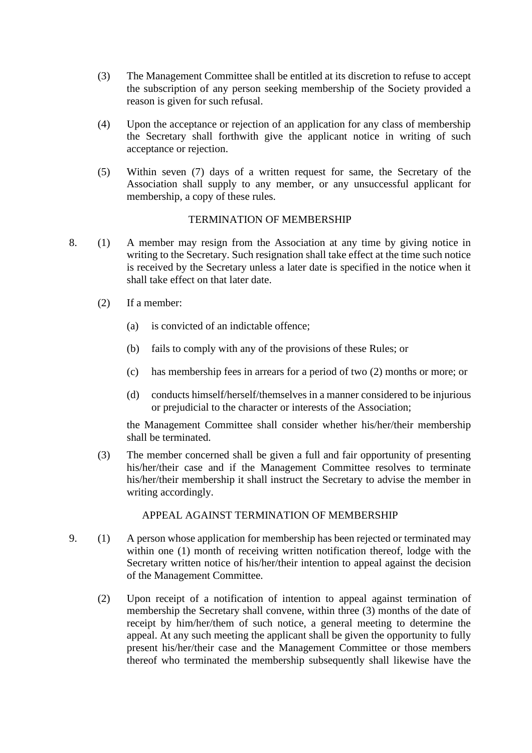- (3) The Management Committee shall be entitled at its discretion to refuse to accept the subscription of any person seeking membership of the Society provided a reason is given for such refusal.
- (4) Upon the acceptance or rejection of an application for any class of membership the Secretary shall forthwith give the applicant notice in writing of such acceptance or rejection.
- (5) Within seven (7) days of a written request for same, the Secretary of the Association shall supply to any member, or any unsuccessful applicant for membership, a copy of these rules.

## TERMINATION OF MEMBERSHIP

- 8. (1) A member may resign from the Association at any time by giving notice in writing to the Secretary. Such resignation shall take effect at the time such notice is received by the Secretary unless a later date is specified in the notice when it shall take effect on that later date.
	- (2) If a member:
		- (a) is convicted of an indictable offence;
		- (b) fails to comply with any of the provisions of these Rules; or
		- (c) has membership fees in arrears for a period of two (2) months or more; or
		- (d) conducts himself/herself/themselves in a manner considered to be injurious or prejudicial to the character or interests of the Association;

the Management Committee shall consider whether his/her/their membership shall be terminated.

(3) The member concerned shall be given a full and fair opportunity of presenting his/her/their case and if the Management Committee resolves to terminate his/her/their membership it shall instruct the Secretary to advise the member in writing accordingly.

#### APPEAL AGAINST TERMINATION OF MEMBERSHIP

- 9. (1) A person whose application for membership has been rejected or terminated may within one (1) month of receiving written notification thereof, lodge with the Secretary written notice of his/her/their intention to appeal against the decision of the Management Committee.
	- (2) Upon receipt of a notification of intention to appeal against termination of membership the Secretary shall convene, within three (3) months of the date of receipt by him/her/them of such notice, a general meeting to determine the appeal. At any such meeting the applicant shall be given the opportunity to fully present his/her/their case and the Management Committee or those members thereof who terminated the membership subsequently shall likewise have the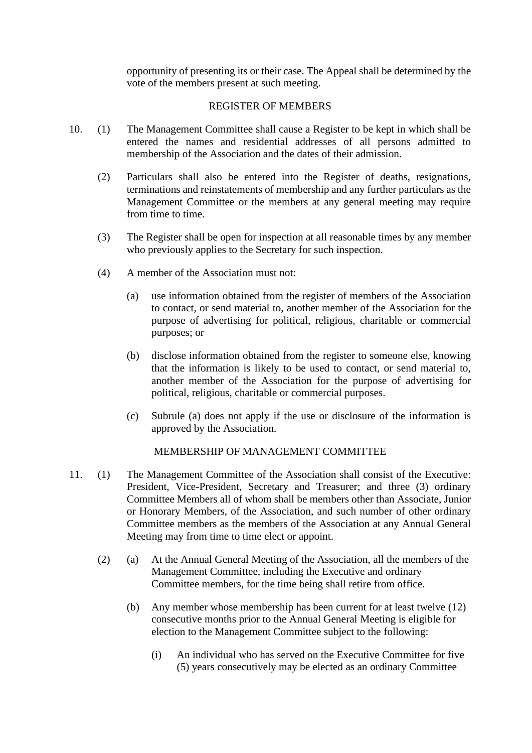opportunity of presenting its or their case. The Appeal shall be determined by the vote of the members present at such meeting.

#### REGISTER OF MEMBERS

- 10. (1) The Management Committee shall cause a Register to be kept in which shall be entered the names and residential addresses of all persons admitted to membership of the Association and the dates of their admission.
	- (2) Particulars shall also be entered into the Register of deaths, resignations, terminations and reinstatements of membership and any further particulars as the Management Committee or the members at any general meeting may require from time to time.
	- (3) The Register shall be open for inspection at all reasonable times by any member who previously applies to the Secretary for such inspection.
	- (4) A member of the Association must not:
		- (a) use information obtained from the register of members of the Association to contact, or send material to, another member of the Association for the purpose of advertising for political, religious, charitable or commercial purposes; or
		- (b) disclose information obtained from the register to someone else, knowing that the information is likely to be used to contact, or send material to, another member of the Association for the purpose of advertising for political, religious, charitable or commercial purposes.
		- (c) Subrule (a) does not apply if the use or disclosure of the information is approved by the Association.

# MEMBERSHIP OF MANAGEMENT COMMITTEE

- 11. (1) The Management Committee of the Association shall consist of the Executive: President, Vice-President, Secretary and Treasurer; and three (3) ordinary Committee Members all of whom shall be members other than Associate, Junior or Honorary Members, of the Association, and such number of other ordinary Committee members as the members of the Association at any Annual General Meeting may from time to time elect or appoint.
	- (2) (a) At the Annual General Meeting of the Association, all the members of the Management Committee, including the Executive and ordinary Committee members, for the time being shall retire from office.
		- (b) Any member whose membership has been current for at least twelve (12) consecutive months prior to the Annual General Meeting is eligible for election to the Management Committee subject to the following:
			- (i) An individual who has served on the Executive Committee for five (5) years consecutively may be elected as an ordinary Committee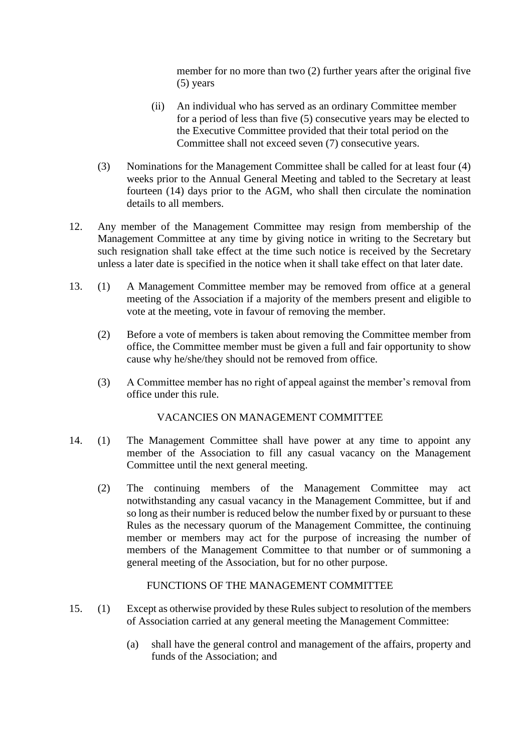member for no more than two (2) further years after the original five (5) years

- (ii) An individual who has served as an ordinary Committee member for a period of less than five (5) consecutive years may be elected to the Executive Committee provided that their total period on the Committee shall not exceed seven (7) consecutive years.
- (3) Nominations for the Management Committee shall be called for at least four (4) weeks prior to the Annual General Meeting and tabled to the Secretary at least fourteen (14) days prior to the AGM, who shall then circulate the nomination details to all members.
- 12. Any member of the Management Committee may resign from membership of the Management Committee at any time by giving notice in writing to the Secretary but such resignation shall take effect at the time such notice is received by the Secretary unless a later date is specified in the notice when it shall take effect on that later date.
- 13. (1) A Management Committee member may be removed from office at a general meeting of the Association if a majority of the members present and eligible to vote at the meeting, vote in favour of removing the member.
	- (2) Before a vote of members is taken about removing the Committee member from office, the Committee member must be given a full and fair opportunity to show cause why he/she/they should not be removed from office.
	- (3) A Committee member has no right of appeal against the member's removal from office under this rule.

# VACANCIES ON MANAGEMENT COMMITTEE

- 14. (1) The Management Committee shall have power at any time to appoint any member of the Association to fill any casual vacancy on the Management Committee until the next general meeting.
	- (2) The continuing members of the Management Committee may act notwithstanding any casual vacancy in the Management Committee, but if and so long as their number is reduced below the number fixed by or pursuant to these Rules as the necessary quorum of the Management Committee, the continuing member or members may act for the purpose of increasing the number of members of the Management Committee to that number or of summoning a general meeting of the Association, but for no other purpose.

## FUNCTIONS OF THE MANAGEMENT COMMITTEE

- 15. (1) Except as otherwise provided by these Rules subject to resolution of the members of Association carried at any general meeting the Management Committee:
	- (a) shall have the general control and management of the affairs, property and funds of the Association; and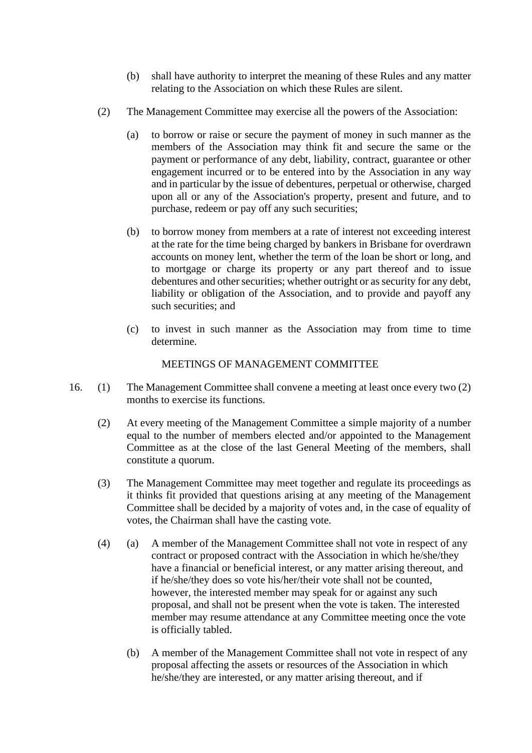- (b) shall have authority to interpret the meaning of these Rules and any matter relating to the Association on which these Rules are silent.
- (2) The Management Committee may exercise all the powers of the Association:
	- (a) to borrow or raise or secure the payment of money in such manner as the members of the Association may think fit and secure the same or the payment or performance of any debt, liability, contract, guarantee or other engagement incurred or to be entered into by the Association in any way and in particular by the issue of debentures, perpetual or otherwise, charged upon all or any of the Association's property, present and future, and to purchase, redeem or pay off any such securities;
	- (b) to borrow money from members at a rate of interest not exceeding interest at the rate for the time being charged by bankers in Brisbane for overdrawn accounts on money lent, whether the term of the loan be short or long, and to mortgage or charge its property or any part thereof and to issue debentures and other securities; whether outright or as security for any debt, liability or obligation of the Association, and to provide and payoff any such securities; and
	- (c) to invest in such manner as the Association may from time to time determine.

## MEETINGS OF MANAGEMENT COMMITTEE

- 16. (1) The Management Committee shall convene a meeting at least once every two (2) months to exercise its functions.
	- (2) At every meeting of the Management Committee a simple majority of a number equal to the number of members elected and/or appointed to the Management Committee as at the close of the last General Meeting of the members, shall constitute a quorum.
	- (3) The Management Committee may meet together and regulate its proceedings as it thinks fit provided that questions arising at any meeting of the Management Committee shall be decided by a majority of votes and, in the case of equality of votes, the Chairman shall have the casting vote.
	- (4) (a) A member of the Management Committee shall not vote in respect of any contract or proposed contract with the Association in which he/she/they have a financial or beneficial interest, or any matter arising thereout, and if he/she/they does so vote his/her/their vote shall not be counted, however, the interested member may speak for or against any such proposal, and shall not be present when the vote is taken. The interested member may resume attendance at any Committee meeting once the vote is officially tabled.
		- (b) A member of the Management Committee shall not vote in respect of any proposal affecting the assets or resources of the Association in which he/she/they are interested, or any matter arising thereout, and if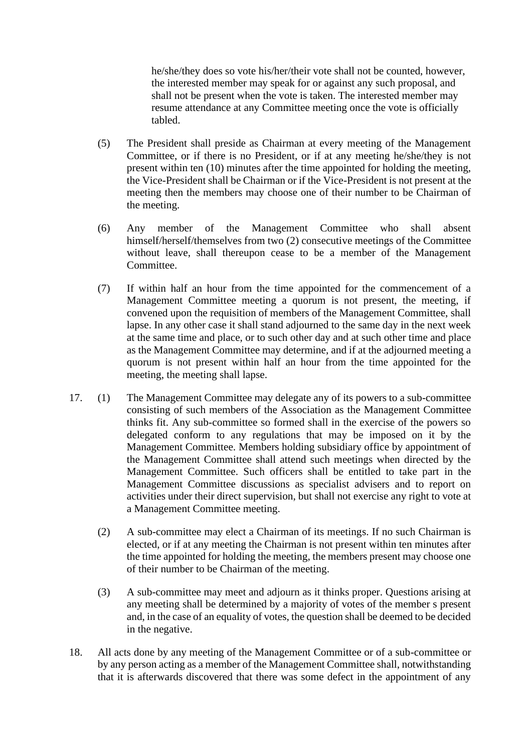he/she/they does so vote his/her/their vote shall not be counted, however, the interested member may speak for or against any such proposal, and shall not be present when the vote is taken. The interested member may resume attendance at any Committee meeting once the vote is officially tabled.

- (5) The President shall preside as Chairman at every meeting of the Management Committee, or if there is no President, or if at any meeting he/she/they is not present within ten (10) minutes after the time appointed for holding the meeting, the Vice-President shall be Chairman or if the Vice-President is not present at the meeting then the members may choose one of their number to be Chairman of the meeting.
- (6) Any member of the Management Committee who shall absent himself/herself/themselves from two (2) consecutive meetings of the Committee without leave, shall thereupon cease to be a member of the Management Committee.
- (7) If within half an hour from the time appointed for the commencement of a Management Committee meeting a quorum is not present, the meeting, if convened upon the requisition of members of the Management Committee, shall lapse. In any other case it shall stand adjourned to the same day in the next week at the same time and place, or to such other day and at such other time and place as the Management Committee may determine, and if at the adjourned meeting a quorum is not present within half an hour from the time appointed for the meeting, the meeting shall lapse.
- 17. (1) The Management Committee may delegate any of its powers to a sub-committee consisting of such members of the Association as the Management Committee thinks fit. Any sub-committee so formed shall in the exercise of the powers so delegated conform to any regulations that may be imposed on it by the Management Committee. Members holding subsidiary office by appointment of the Management Committee shall attend such meetings when directed by the Management Committee. Such officers shall be entitled to take part in the Management Committee discussions as specialist advisers and to report on activities under their direct supervision, but shall not exercise any right to vote at a Management Committee meeting.
	- (2) A sub-committee may elect a Chairman of its meetings. If no such Chairman is elected, or if at any meeting the Chairman is not present within ten minutes after the time appointed for holding the meeting, the members present may choose one of their number to be Chairman of the meeting.
	- (3) A sub-committee may meet and adjourn as it thinks proper. Questions arising at any meeting shall be determined by a majority of votes of the member s present and, in the case of an equality of votes, the question shall be deemed to be decided in the negative.
- 18. All acts done by any meeting of the Management Committee or of a sub-committee or by any person acting as a member of the Management Committee shall, notwithstanding that it is afterwards discovered that there was some defect in the appointment of any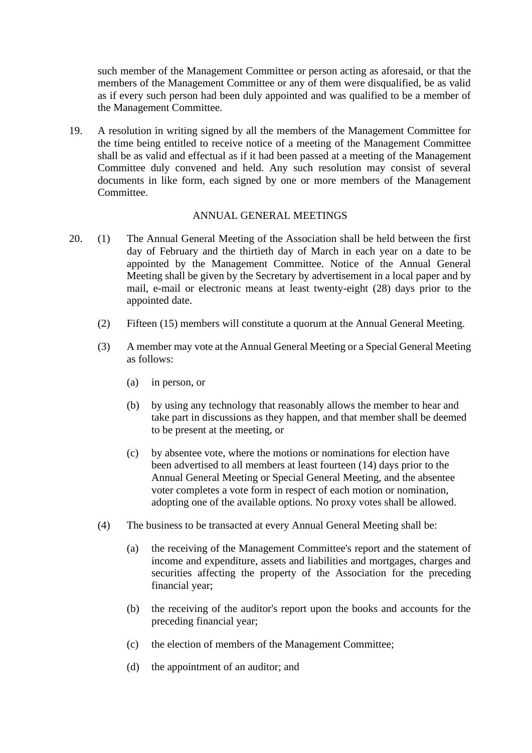such member of the Management Committee or person acting as aforesaid, or that the members of the Management Committee or any of them were disqualified, be as valid as if every such person had been duly appointed and was qualified to be a member of the Management Committee.

19. A resolution in writing signed by all the members of the Management Committee for the time being entitled to receive notice of a meeting of the Management Committee shall be as valid and effectual as if it had been passed at a meeting of the Management Committee duly convened and held. Any such resolution may consist of several documents in like form, each signed by one or more members of the Management Committee.

## ANNUAL GENERAL MEETINGS

- 20. (1) The Annual General Meeting of the Association shall be held between the first day of February and the thirtieth day of March in each year on a date to be appointed by the Management Committee. Notice of the Annual General Meeting shall be given by the Secretary by advertisement in a local paper and by mail, e-mail or electronic means at least twenty-eight (28) days prior to the appointed date.
	- (2) Fifteen (15) members will constitute a quorum at the Annual General Meeting.
	- (3) A member may vote at the Annual General Meeting or a Special General Meeting as follows:
		- (a) in person, or
		- (b) by using any technology that reasonably allows the member to hear and take part in discussions as they happen, and that member shall be deemed to be present at the meeting, or
		- (c) by absentee vote, where the motions or nominations for election have been advertised to all members at least fourteen (14) days prior to the Annual General Meeting or Special General Meeting, and the absentee voter completes a vote form in respect of each motion or nomination, adopting one of the available options. No proxy votes shall be allowed.
	- (4) The business to be transacted at every Annual General Meeting shall be:
		- (a) the receiving of the Management Committee's report and the statement of income and expenditure, assets and liabilities and mortgages, charges and securities affecting the property of the Association for the preceding financial year;
		- (b) the receiving of the auditor's report upon the books and accounts for the preceding financial year;
		- (c) the election of members of the Management Committee;
		- (d) the appointment of an auditor; and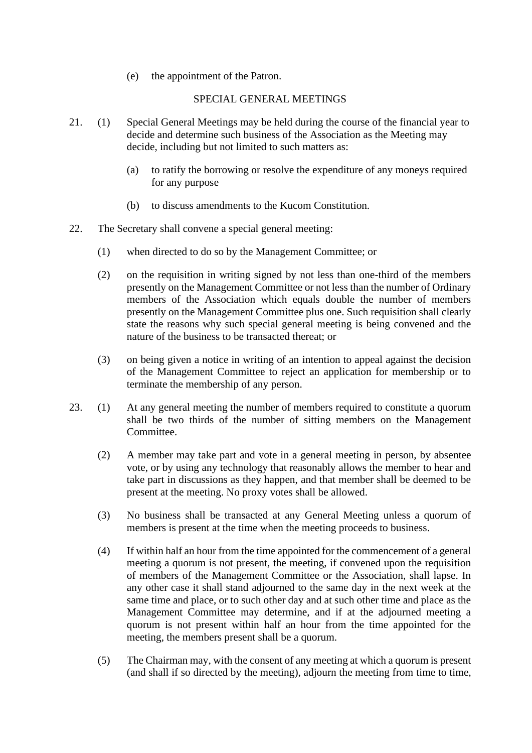(e) the appointment of the Patron.

## SPECIAL GENERAL MEETINGS

- 21. (1) Special General Meetings may be held during the course of the financial year to decide and determine such business of the Association as the Meeting may decide, including but not limited to such matters as:
	- (a) to ratify the borrowing or resolve the expenditure of any moneys required for any purpose
	- (b) to discuss amendments to the Kucom Constitution.
- 22. The Secretary shall convene a special general meeting:
	- (1) when directed to do so by the Management Committee; or
	- (2) on the requisition in writing signed by not less than one-third of the members presently on the Management Committee or not less than the number of Ordinary members of the Association which equals double the number of members presently on the Management Committee plus one. Such requisition shall clearly state the reasons why such special general meeting is being convened and the nature of the business to be transacted thereat; or
	- (3) on being given a notice in writing of an intention to appeal against the decision of the Management Committee to reject an application for membership or to terminate the membership of any person.
- 23. (1) At any general meeting the number of members required to constitute a quorum shall be two thirds of the number of sitting members on the Management Committee.
	- (2) A member may take part and vote in a general meeting in person, by absentee vote, or by using any technology that reasonably allows the member to hear and take part in discussions as they happen, and that member shall be deemed to be present at the meeting. No proxy votes shall be allowed.
	- (3) No business shall be transacted at any General Meeting unless a quorum of members is present at the time when the meeting proceeds to business.
	- (4) If within half an hour from the time appointed for the commencement of a general meeting a quorum is not present, the meeting, if convened upon the requisition of members of the Management Committee or the Association, shall lapse. In any other case it shall stand adjourned to the same day in the next week at the same time and place, or to such other day and at such other time and place as the Management Committee may determine, and if at the adjourned meeting a quorum is not present within half an hour from the time appointed for the meeting, the members present shall be a quorum.
	- (5) The Chairman may, with the consent of any meeting at which a quorum is present (and shall if so directed by the meeting), adjourn the meeting from time to time,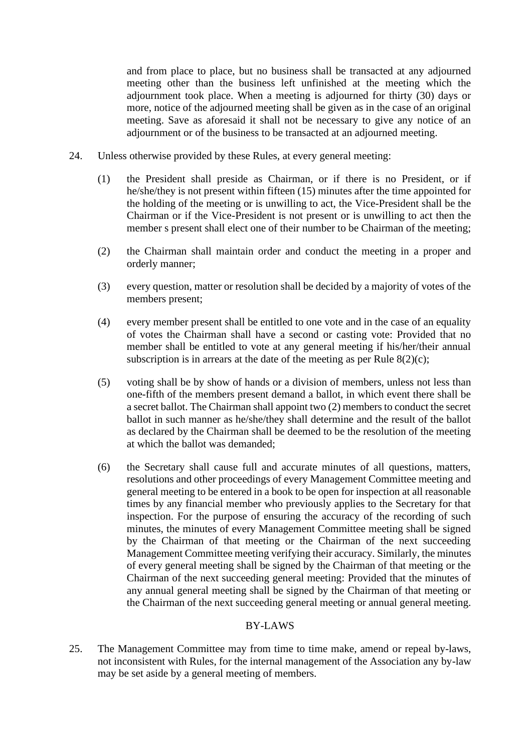and from place to place, but no business shall be transacted at any adjourned meeting other than the business left unfinished at the meeting which the adjournment took place. When a meeting is adjourned for thirty (30) days or more, notice of the adjourned meeting shall be given as in the case of an original meeting. Save as aforesaid it shall not be necessary to give any notice of an adjournment or of the business to be transacted at an adjourned meeting.

- 24. Unless otherwise provided by these Rules, at every general meeting:
	- (1) the President shall preside as Chairman, or if there is no President, or if he/she/they is not present within fifteen (15) minutes after the time appointed for the holding of the meeting or is unwilling to act, the Vice-President shall be the Chairman or if the Vice-President is not present or is unwilling to act then the member s present shall elect one of their number to be Chairman of the meeting;
	- (2) the Chairman shall maintain order and conduct the meeting in a proper and orderly manner;
	- (3) every question, matter or resolution shall be decided by a majority of votes of the members present;
	- (4) every member present shall be entitled to one vote and in the case of an equality of votes the Chairman shall have a second or casting vote: Provided that no member shall be entitled to vote at any general meeting if his/her/their annual subscription is in arrears at the date of the meeting as per Rule  $8(2)(c)$ ;
	- (5) voting shall be by show of hands or a division of members, unless not less than one-fifth of the members present demand a ballot, in which event there shall be a secret ballot. The Chairman shall appoint two (2) members to conduct the secret ballot in such manner as he/she/they shall determine and the result of the ballot as declared by the Chairman shall be deemed to be the resolution of the meeting at which the ballot was demanded;
	- (6) the Secretary shall cause full and accurate minutes of all questions, matters, resolutions and other proceedings of every Management Committee meeting and general meeting to be entered in a book to be open for inspection at all reasonable times by any financial member who previously applies to the Secretary for that inspection. For the purpose of ensuring the accuracy of the recording of such minutes, the minutes of every Management Committee meeting shall be signed by the Chairman of that meeting or the Chairman of the next succeeding Management Committee meeting verifying their accuracy. Similarly, the minutes of every general meeting shall be signed by the Chairman of that meeting or the Chairman of the next succeeding general meeting: Provided that the minutes of any annual general meeting shall be signed by the Chairman of that meeting or the Chairman of the next succeeding general meeting or annual general meeting.

#### BY-LAWS

25. The Management Committee may from time to time make, amend or repeal by-laws, not inconsistent with Rules, for the internal management of the Association any by-law may be set aside by a general meeting of members.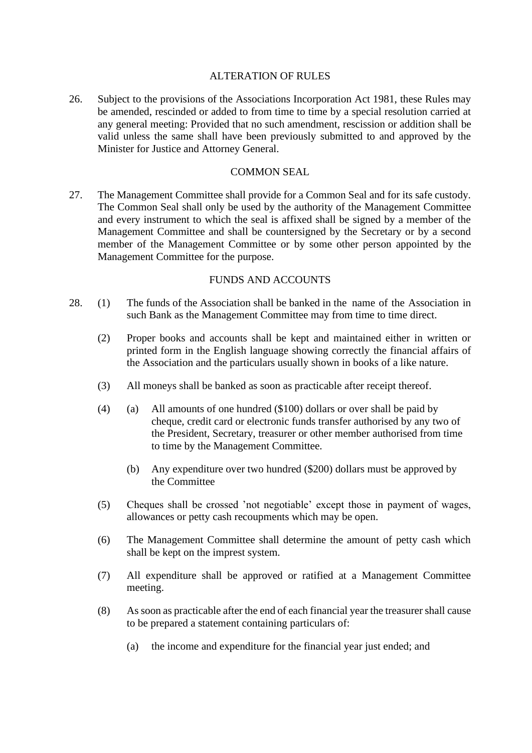### ALTERATION OF RULES

26. Subject to the provisions of the Associations Incorporation Act 1981, these Rules may be amended, rescinded or added to from time to time by a special resolution carried at any general meeting: Provided that no such amendment, rescission or addition shall be valid unless the same shall have been previously submitted to and approved by the Minister for Justice and Attorney General.

#### COMMON SEAL

27. The Management Committee shall provide for a Common Seal and for its safe custody. The Common Seal shall only be used by the authority of the Management Committee and every instrument to which the seal is affixed shall be signed by a member of the Management Committee and shall be countersigned by the Secretary or by a second member of the Management Committee or by some other person appointed by the Management Committee for the purpose.

## FUNDS AND ACCOUNTS

- 28. (1) The funds of the Association shall be banked in the name of the Association in such Bank as the Management Committee may from time to time direct.
	- (2) Proper books and accounts shall be kept and maintained either in written or printed form in the English language showing correctly the financial affairs of the Association and the particulars usually shown in books of a like nature.
	- (3) All moneys shall be banked as soon as practicable after receipt thereof.
	- (4) (a) All amounts of one hundred ( $$100$ ) dollars or over shall be paid by cheque, credit card or electronic funds transfer authorised by any two of the President, Secretary, treasurer or other member authorised from time to time by the Management Committee.
		- (b) Any expenditure over two hundred (\$200) dollars must be approved by the Committee
	- (5) Cheques shall be crossed 'not negotiable' except those in payment of wages, allowances or petty cash recoupments which may be open.
	- (6) The Management Committee shall determine the amount of petty cash which shall be kept on the imprest system.
	- (7) All expenditure shall be approved or ratified at a Management Committee meeting.
	- (8) As soon as practicable after the end of each financial year the treasurer shall cause to be prepared a statement containing particulars of:
		- (a) the income and expenditure for the financial year just ended; and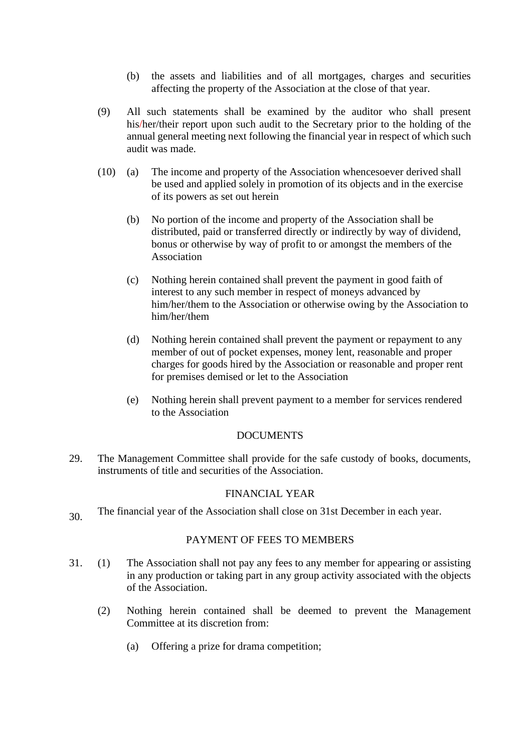- (b) the assets and liabilities and of all mortgages, charges and securities affecting the property of the Association at the close of that year.
- (9) All such statements shall be examined by the auditor who shall present his/her/their report upon such audit to the Secretary prior to the holding of the annual general meeting next following the financial year in respect of which such audit was made.
- (10) (a) The income and property of the Association whencesoever derived shall be used and applied solely in promotion of its objects and in the exercise of its powers as set out herein
	- (b) No portion of the income and property of the Association shall be distributed, paid or transferred directly or indirectly by way of dividend, bonus or otherwise by way of profit to or amongst the members of the Association
	- (c) Nothing herein contained shall prevent the payment in good faith of interest to any such member in respect of moneys advanced by him/her/them to the Association or otherwise owing by the Association to him/her/them
	- (d) Nothing herein contained shall prevent the payment or repayment to any member of out of pocket expenses, money lent, reasonable and proper charges for goods hired by the Association or reasonable and proper rent for premises demised or let to the Association
	- (e) Nothing herein shall prevent payment to a member for services rendered to the Association

## **DOCUMENTS**

29. The Management Committee shall provide for the safe custody of books, documents, instruments of title and securities of the Association.

# FINANCIAL YEAR

30. The financial year of the Association shall close on 31st December in each year.

#### PAYMENT OF FEES TO MEMBERS

- 31. (1) The Association shall not pay any fees to any member for appearing or assisting in any production or taking part in any group activity associated with the objects of the Association.
	- (2) Nothing herein contained shall be deemed to prevent the Management Committee at its discretion from:
		- (a) Offering a prize for drama competition;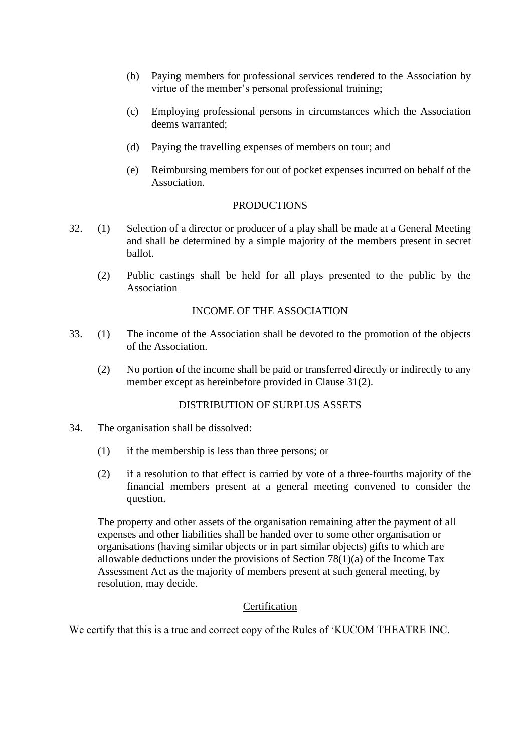- (b) Paying members for professional services rendered to the Association by virtue of the member's personal professional training;
- (c) Employing professional persons in circumstances which the Association deems warranted;
- (d) Paying the travelling expenses of members on tour; and
- (e) Reimbursing members for out of pocket expenses incurred on behalf of the Association.

#### **PRODUCTIONS**

- 32. (1) Selection of a director or producer of a play shall be made at a General Meeting and shall be determined by a simple majority of the members present in secret ballot.
	- (2) Public castings shall be held for all plays presented to the public by the Association

# INCOME OF THE ASSOCIATION

- 33. (1) The income of the Association shall be devoted to the promotion of the objects of the Association.
	- (2) No portion of the income shall be paid or transferred directly or indirectly to any member except as hereinbefore provided in Clause 31(2).

#### DISTRIBUTION OF SURPLUS ASSETS

- 34. The organisation shall be dissolved:
	- (1) if the membership is less than three persons; or
	- (2) if a resolution to that effect is carried by vote of a three-fourths majority of the financial members present at a general meeting convened to consider the question.

The property and other assets of the organisation remaining after the payment of all expenses and other liabilities shall be handed over to some other organisation or organisations (having similar objects or in part similar objects) gifts to which are allowable deductions under the provisions of Section 78(1)(a) of the Income Tax Assessment Act as the majority of members present at such general meeting, by resolution, may decide.

## **Certification**

We certify that this is a true and correct copy of the Rules of 'KUCOM THEATRE INC.